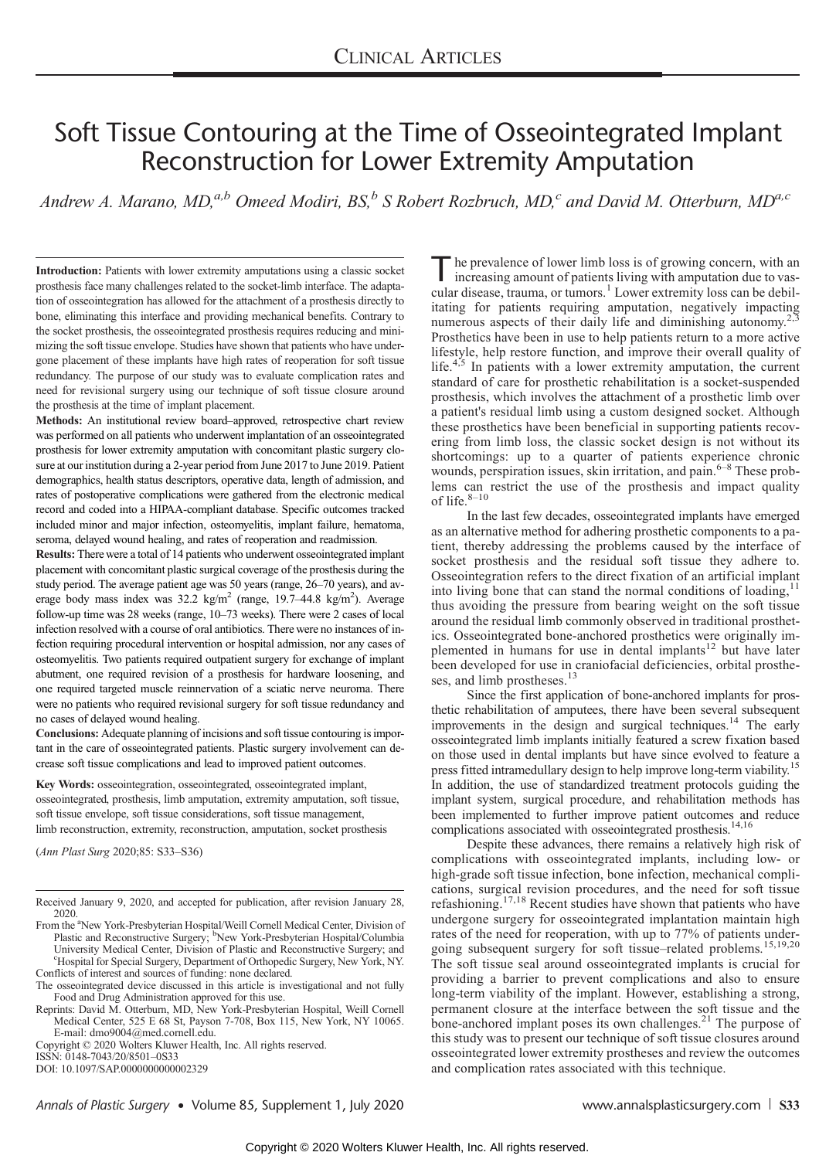# Soft Tissue Contouring at the Time of Osseointegrated Implant Reconstruction for Lower Extremity Amputation

Andrew A. Marano, MD,<sup>a,b</sup> Omeed Modiri, BS,<sup>b</sup> S Robert Rozbruch, MD,<sup>c</sup> and David M. Otterburn, MD<sup>a,c</sup>

Introduction: Patients with lower extremity amputations using a classic socket prosthesis face many challenges related to the socket-limb interface. The adaptation of osseointegration has allowed for the attachment of a prosthesis directly to bone, eliminating this interface and providing mechanical benefits. Contrary to the socket prosthesis, the osseointegrated prosthesis requires reducing and minimizing the soft tissue envelope. Studies have shown that patients who have undergone placement of these implants have high rates of reoperation for soft tissue redundancy. The purpose of our study was to evaluate complication rates and need for revisional surgery using our technique of soft tissue closure around the prosthesis at the time of implant placement.

Methods: An institutional review board–approved, retrospective chart review was performed on all patients who underwent implantation of an osseointegrated prosthesis for lower extremity amputation with concomitant plastic surgery closure at our institution during a 2-year period from June 2017 to June 2019. Patient demographics, health status descriptors, operative data, length of admission, and rates of postoperative complications were gathered from the electronic medical record and coded into a HIPAA-compliant database. Specific outcomes tracked included minor and major infection, osteomyelitis, implant failure, hematoma, seroma, delayed wound healing, and rates of reoperation and readmission.

Results: There were a total of 14 patients who underwent osseointegrated implant placement with concomitant plastic surgical coverage of the prosthesis during the study period. The average patient age was 50 years (range, 26–70 years), and average body mass index was 32.2 kg/m<sup>2</sup> (range, 19.7-44.8 kg/m<sup>2</sup>). Average follow-up time was 28 weeks (range, 10–73 weeks). There were 2 cases of local infection resolved with a course of oral antibiotics. There were no instances of infection requiring procedural intervention or hospital admission, nor any cases of osteomyelitis. Two patients required outpatient surgery for exchange of implant abutment, one required revision of a prosthesis for hardware loosening, and one required targeted muscle reinnervation of a sciatic nerve neuroma. There were no patients who required revisional surgery for soft tissue redundancy and no cases of delayed wound healing.

Conclusions: Adequate planning of incisions and soft tissue contouring is important in the care of osseointegrated patients. Plastic surgery involvement can decrease soft tissue complications and lead to improved patient outcomes.

Key Words: osseointegration, osseointegrated, osseointegrated implant, osseointegrated, prosthesis, limb amputation, extremity amputation, soft tissue, soft tissue envelope, soft tissue considerations, soft tissue management, limb reconstruction, extremity, reconstruction, amputation, socket prosthesis

(Ann Plast Surg 2020;85: S33–S36)

Copyright © 2020 Wolters Kluwer Health, Inc. All rights reserved. ISSN: 0148-7043/20/8501–0S33

DOI: 10.1097/SAP.0000000000002329

he prevalence of lower limb loss is of growing concern, with an increasing amount of patients living with amputation due to vascular disease, trauma, or tumors.<sup>1</sup> Lower extremity loss can be debilitating for patients requiring amputation, negatively impacting numerous aspects of their daily life and diminishing autonomy.<sup>2</sup> Prosthetics have been in use to help patients return to a more active lifestyle, help restore function, and improve their overall quality of life.<sup>4,5</sup> In patients with a lower extremity amputation, the current standard of care for prosthetic rehabilitation is a socket-suspended prosthesis, which involves the attachment of a prosthetic limb over a patient's residual limb using a custom designed socket. Although these prosthetics have been beneficial in supporting patients recovering from limb loss, the classic socket design is not without its shortcomings: up to a quarter of patients experience chronic wounds, perspiration issues, skin irritation, and pain. $6-8$  These problems can restrict the use of the prosthesis and impact quality of life. $8-10$ 

In the last few decades, osseointegrated implants have emerged as an alternative method for adhering prosthetic components to a patient, thereby addressing the problems caused by the interface of socket prosthesis and the residual soft tissue they adhere to. Osseointegration refers to the direct fixation of an artificial implant into living bone that can stand the normal conditions of loading,  $11$ thus avoiding the pressure from bearing weight on the soft tissue around the residual limb commonly observed in traditional prosthetics. Osseointegrated bone-anchored prosthetics were originally implemented in humans for use in dental implants<sup>12</sup> but have later been developed for use in craniofacial deficiencies, orbital prostheses, and limb prostheses.<sup>13</sup>

Since the first application of bone-anchored implants for prosthetic rehabilitation of amputees, there have been several subsequent improvements in the design and surgical techniques.<sup>14</sup> The early osseointegrated limb implants initially featured a screw fixation based on those used in dental implants but have since evolved to feature a press fitted intramedullary design to help improve long-term viability.<sup>15</sup> In addition, the use of standardized treatment protocols guiding the implant system, surgical procedure, and rehabilitation methods has been implemented to further improve patient outcomes and reduce complications associated with osseointegrated prosthesis.<sup>14,16</sup>

Despite these advances, there remains a relatively high risk of complications with osseointegrated implants, including low- or high-grade soft tissue infection, bone infection, mechanical complications, surgical revision procedures, and the need for soft tissue refashioning.17,18 Recent studies have shown that patients who have undergone surgery for osseointegrated implantation maintain high rates of the need for reoperation, with up to 77% of patients undergoing subsequent surgery for soft tissue–related problems.15,19,20 The soft tissue seal around osseointegrated implants is crucial for providing a barrier to prevent complications and also to ensure long-term viability of the implant. However, establishing a strong, permanent closure at the interface between the soft tissue and the bone-anchored implant poses its own challenges. $^{21}$  The purpose of this study was to present our technique of soft tissue closures around osseointegrated lower extremity prostheses and review the outcomes and complication rates associated with this technique.

Annals of Plastic Surgery • Volume 85, Supplement 1, July 2020 [www.annalsplasticsurgery.com](http://www.annalsplasticsurgery.com) S33

Received January 9, 2020, and accepted for publication, after revision January 28, 2020.

From the <sup>a</sup>New York-Presbyterian Hospital/Weill Cornell Medical Center, Division of Plastic and Reconstructive Surgery; <sup>b</sup>New York-Presbyterian Hospital/Columbia University Medical Center, Division of Plastic and Reconstructive Surgery; and c Hospital for Special Surgery, Department of Orthopedic Surgery, New York, NY. Conflicts of interest and sources of funding: none declared.

The osseointegrated device discussed in this article is investigational and not fully Food and Drug Administration approved for this use.

Reprints: David M. Otterburn, MD, New York-Presbyterian Hospital, Weill Cornell Medical Center, 525 E 68 St, Payson 7-708, Box 115, New York, NY 10065. E-mail: [dmo9004@med.cornell.edu.](mailto:dmo9004@med.cornell.edu)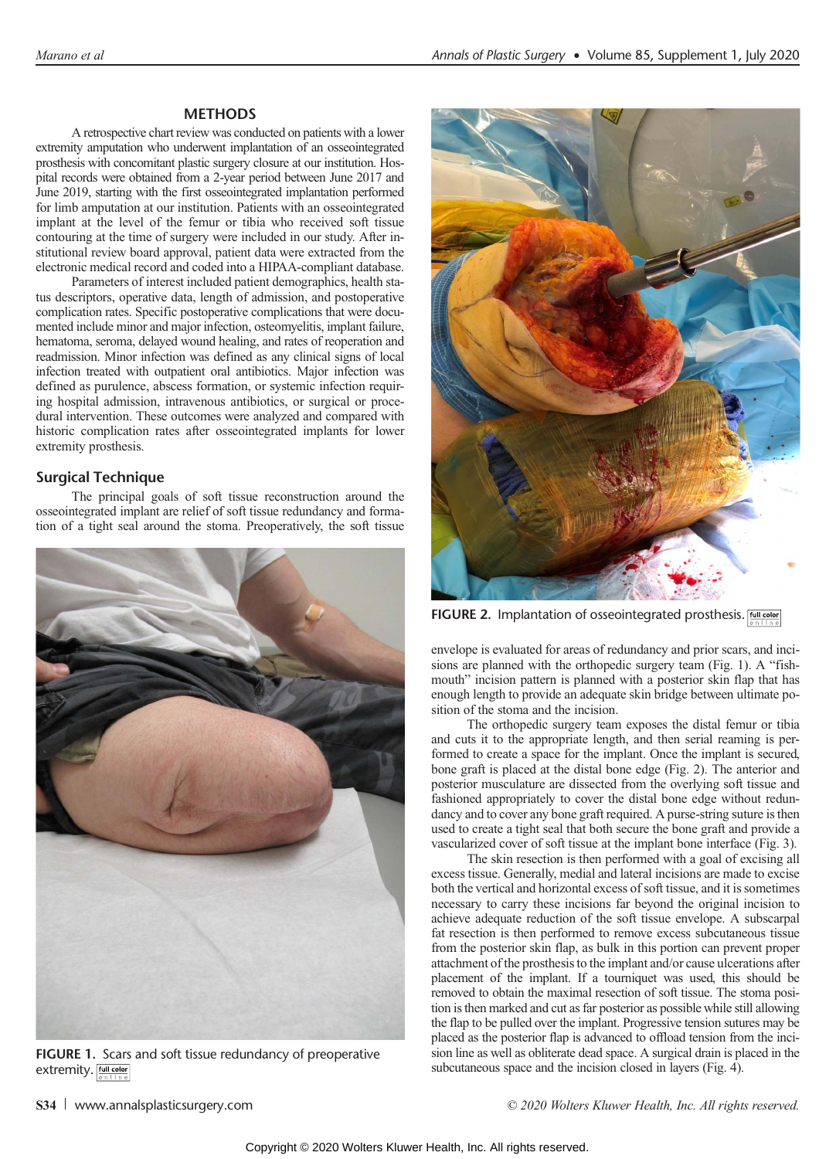# **MFTHODS**

A retrospective chart review was conducted on patients with a lower extremity amputation who underwent implantation of an osseointegrated prosthesis with concomitant plastic surgery closure at our institution. Hospital records were obtained from a 2-year period between June 2017 and June 2019, starting with the first osseointegrated implantation performed for limb amputation at our institution. Patients with an osseointegrated implant at the level of the femur or tibia who received soft tissue contouring at the time of surgery were included in our study. After institutional review board approval, patient data were extracted from the electronic medical record and coded into a HIPAA-compliant database.

Parameters of interest included patient demographics, health status descriptors, operative data, length of admission, and postoperative complication rates. Specific postoperative complications that were documented include minor and major infection, osteomyelitis, implant failure, hematoma, seroma, delayed wound healing, and rates of reoperation and readmission. Minor infection was defined as any clinical signs of local infection treated with outpatient oral antibiotics. Major infection was defined as purulence, abscess formation, or systemic infection requiring hospital admission, intravenous antibiotics, or surgical or procedural intervention. These outcomes were analyzed and compared with historic complication rates after osseointegrated implants for lower extremity prosthesis.

The principal goals of soft tissue reconstruction around the osseointegrated implant are relief of soft tissue redundancy and formation of a tight seal around the stoma. Preoperatively, the soft tissue



FIGURE 1. Scars and soft tissue redundancy of preoperative extremity. Full color



FIGURE 2. Implantation of osseointegrated prosthesis. [60] color

envelope is evaluated for areas of redundancy and prior scars, and incisions are planned with the orthopedic surgery team (Fig. 1). A "fishmouth" incision pattern is planned with a posterior skin flap that has enough length to provide an adequate skin bridge between ultimate position of the stoma and the incision.

The orthopedic surgery team exposes the distal femur or tibia and cuts it to the appropriate length, and then serial reaming is performed to create a space for the implant. Once the implant is secured, bone graft is placed at the distal bone edge (Fig. 2). The anterior and posterior musculature are dissected from the overlying soft tissue and fashioned appropriately to cover the distal bone edge without redundancy and to cover any bone graft required. A purse-string suture is then used to create a tight seal that both secure the bone graft and provide a vascularized cover of soft tissue at the implant bone interface (Fig. 3).

The skin resection is then performed with a goal of excising all excess tissue. Generally, medial and lateral incisions are made to excise both the vertical and horizontal excess of soft tissue, and it is sometimes necessary to carry these incisions far beyond the original incision to achieve adequate reduction of the soft tissue envelope. A subscarpal fat resection is then performed to remove excess subcutaneous tissue from the posterior skin flap, as bulk in this portion can prevent proper attachment of the prosthesis to the implant and/or cause ulcerations after placement of the implant. If a tourniquet was used, this should be removed to obtain the maximal resection of soft tissue. The stoma position is then marked and cut as far posterior as possible while still allowing the flap to be pulled over the implant. Progressive tension sutures may be placed as the posterior flap is advanced to offload tension from the incision line as well as obliterate dead space. A surgical drain is placed in the subcutaneous space and the incision closed in layers (Fig. 4).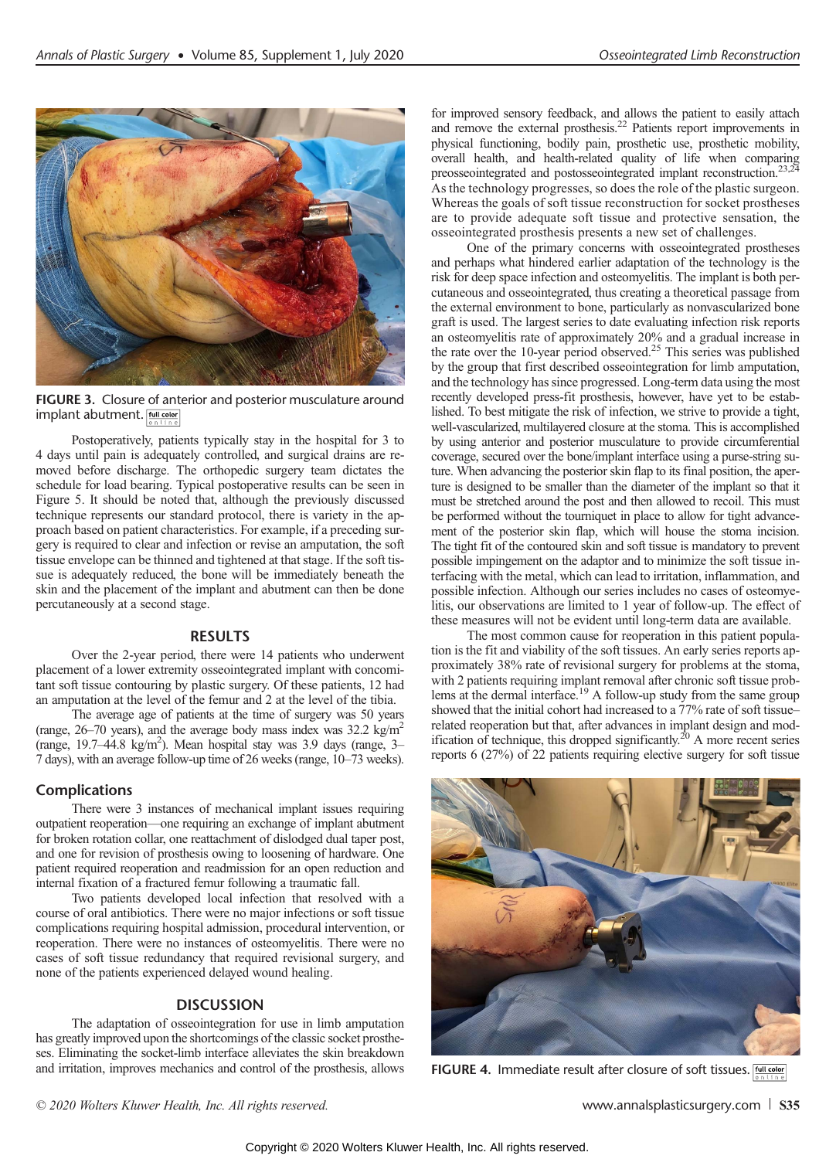

FIGURE 3. Closure of anterior and posterior musculature around implant abutment. **Full color** 

Postoperatively, patients typically stay in the hospital for 3 to 4 days until pain is adequately controlled, and surgical drains are removed before discharge. The orthopedic surgery team dictates the schedule for load bearing. Typical postoperative results can be seen in Figure 5. It should be noted that, although the previously discussed technique represents our standard protocol, there is variety in the approach based on patient characteristics. For example, if a preceding surgery is required to clear and infection or revise an amputation, the soft tissue envelope can be thinned and tightened at that stage. If the soft tissue is adequately reduced, the bone will be immediately beneath the skin and the placement of the implant and abutment can then be done percutaneously at a second stage.

# **RESULTS**

Over the 2-year period, there were 14 patients who underwent placement of a lower extremity osseointegrated implant with concomitant soft tissue contouring by plastic surgery. Of these patients, 12 had an amputation at the level of the femur and 2 at the level of the tibia.

The average age of patients at the time of surgery was 50 years (range,  $26-70$  years), and the average body mass index was  $32.2 \text{ kg/m}^2$ (range, 19.7–44.8 kg/m2 ). Mean hospital stay was 3.9 days (range, 3– 7 days), with an average follow-up time of 26 weeks (range, 10–73 weeks).

There were 3 instances of mechanical implant issues requiring outpatient reoperation—one requiring an exchange of implant abutment for broken rotation collar, one reattachment of dislodged dual taper post, and one for revision of prosthesis owing to loosening of hardware. One patient required reoperation and readmission for an open reduction and internal fixation of a fractured femur following a traumatic fall.

Two patients developed local infection that resolved with a course of oral antibiotics. There were no major infections or soft tissue complications requiring hospital admission, procedural intervention, or reoperation. There were no instances of osteomyelitis. There were no cases of soft tissue redundancy that required revisional surgery, and none of the patients experienced delayed wound healing.

# **DISCUSSION**

The adaptation of osseointegration for use in limb amputation has greatly improved upon the shortcomings of the classic socket prostheses. Eliminating the socket-limb interface alleviates the skin breakdown and irritation, improves mechanics and control of the prosthesis, allows

for improved sensory feedback, and allows the patient to easily attach and remove the external prosthesis.<sup>22</sup> Patients report improvements in physical functioning, bodily pain, prosthetic use, prosthetic mobility, overall health, and health-related quality of life when comparing preosseointegrated and postosseointegrated implant reconstruction.23,24 As the technology progresses, so does the role of the plastic surgeon. Whereas the goals of soft tissue reconstruction for socket prostheses are to provide adequate soft tissue and protective sensation, the osseointegrated prosthesis presents a new set of challenges.

One of the primary concerns with osseointegrated prostheses and perhaps what hindered earlier adaptation of the technology is the risk for deep space infection and osteomyelitis. The implant is both percutaneous and osseointegrated, thus creating a theoretical passage from the external environment to bone, particularly as nonvascularized bone graft is used. The largest series to date evaluating infection risk reports an osteomyelitis rate of approximately 20% and a gradual increase in the rate over the 10-year period observed.<sup>25</sup> This series was published by the group that first described osseointegration for limb amputation, and the technology has since progressed. Long-term data using the most recently developed press-fit prosthesis, however, have yet to be established. To best mitigate the risk of infection, we strive to provide a tight, well-vascularized, multilayered closure at the stoma. This is accomplished by using anterior and posterior musculature to provide circumferential coverage, secured over the bone/implant interface using a purse-string suture. When advancing the posterior skin flap to its final position, the aperture is designed to be smaller than the diameter of the implant so that it must be stretched around the post and then allowed to recoil. This must be performed without the tourniquet in place to allow for tight advancement of the posterior skin flap, which will house the stoma incision. The tight fit of the contoured skin and soft tissue is mandatory to prevent possible impingement on the adaptor and to minimize the soft tissue interfacing with the metal, which can lead to irritation, inflammation, and possible infection. Although our series includes no cases of osteomyelitis, our observations are limited to 1 year of follow-up. The effect of these measures will not be evident until long-term data are available.

The most common cause for reoperation in this patient population is the fit and viability of the soft tissues. An early series reports approximately 38% rate of revisional surgery for problems at the stoma, with 2 patients requiring implant removal after chronic soft tissue problems at the dermal interface.<sup>19</sup> A follow-up study from the same group showed that the initial cohort had increased to a 77% rate of soft tissue– related reoperation but that, after advances in implant design and modification of technique, this dropped significantly.<sup>20</sup> A more recent series reports 6 (27%) of 22 patients requiring elective surgery for soft tissue



FIGURE 4. Immediate result after closure of soft tissues. [6011 color

© 2020 Wolters Kluwer Health, Inc. All rights reserved. Www.annalsplasticsurgery.com S35